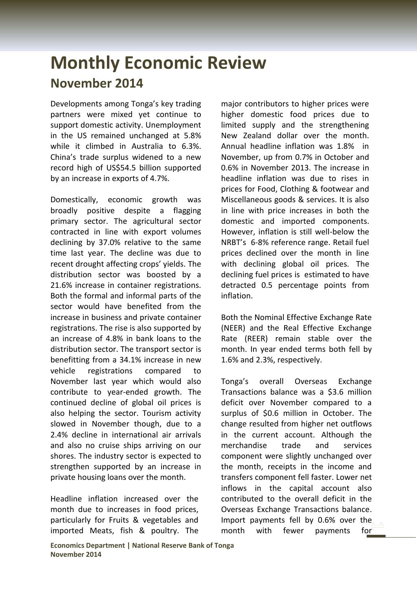## **Monthly Economic Review November 2014**

Developments among Tonga's key trading partners were mixed yet continue to support domestic activity. Unemployment in the US remained unchanged at 5.8% while it climbed in Australia to 6.3%. China's trade surplus widened to a new record high of US\$54.5 billion supported by an increase in exports of 4.7%.

Domestically, economic growth was broadly positive despite a flagging primary sector. The agricultural sector contracted in line with export volumes declining by 37.0% relative to the same time last year. The decline was due to recent drought affecting crops' yields. The distribution sector was boosted by a 21.6% increase in container registrations. Both the formal and informal parts of the sector would have benefited from the increase in business and private container registrations. The rise is also supported by an increase of 4.8% in bank loans to the distribution sector. The transport sector is benefitting from a 34.1% increase in new vehicle registrations compared to November last year which would also contribute to year-ended growth. The continued decline of global oil prices is also helping the sector. Tourism activity slowed in November though, due to a 2.4% decline in international air arrivals and also no cruise ships arriving on our shores. The industry sector is expected to strengthen supported by an increase in private housing loans over the month.

Headline inflation increased over the month due to increases in food prices, particularly for Fruits & vegetables and imported Meats, fish & poultry. The major contributors to higher prices were higher domestic food prices due to limited supply and the strengthening New Zealand dollar over the month. Annual headline inflation was 1.8% in November, up from 0.7% in October and 0.6% in November 2013. The increase in headline inflation was due to rises in prices for Food, Clothing & footwear and Miscellaneous goods & services. It is also in line with price increases in both the domestic and imported components. However, inflation is still well-below the NRBT's 6-8% reference range. Retail fuel prices declined over the month in line with declining global oil prices. The declining fuel prices is estimated to have detracted 0.5 percentage points from inflation.

Both the Nominal Effective Exchange Rate (NEER) and the Real Effective Exchange Rate (REER) remain stable over the month. In year ended terms both fell by 1.6% and 2.3%, respectively.

Tonga's overall Overseas Exchange Transactions balance was a \$3.6 million deficit over November compared to a surplus of \$0.6 million in October. The change resulted from higher net outflows in the current account. Although the merchandise trade and services component were slightly unchanged over the month, receipts in the income and transfers component fell faster. Lower net inflows in the capital account also contributed to the overall deficit in the Overseas Exchange Transactions balance. Import payments fell by 0.6% over the month with fewer payments for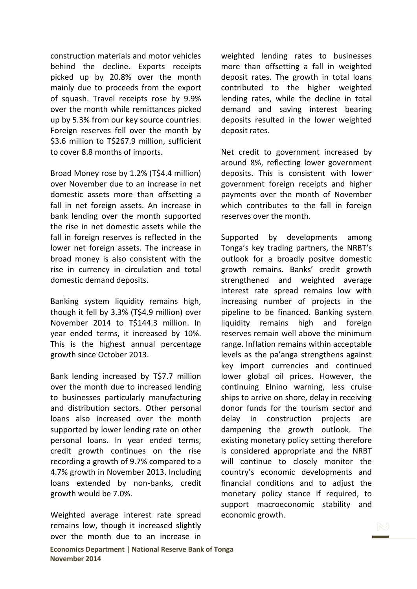construction materials and motor vehicles behind the decline. Exports receipts picked up by 20.8% over the month mainly due to proceeds from the export of squash. Travel receipts rose by 9.9% over the month while remittances picked up by 5.3% from our key source countries. Foreign reserves fell over the month by \$3.6 million to T\$267.9 million, sufficient to cover 8.8 months of imports.

Broad Money rose by 1.2% (T\$4.4 million) over November due to an increase in net domestic assets more than offsetting a fall in net foreign assets. An increase in bank lending over the month supported the rise in net domestic assets while the fall in foreign reserves is reflected in the lower net foreign assets. The increase in broad money is also consistent with the rise in currency in circulation and total domestic demand deposits.

Banking system liquidity remains high, though it fell by 3.3% (T\$4.9 million) over November 2014 to T\$144.3 million. In year ended terms, it increased by 10%. This is the highest annual percentage growth since October 2013.

Bank lending increased by T\$7.7 million over the month due to increased lending to businesses particularly manufacturing and distribution sectors. Other personal loans also increased over the month supported by lower lending rate on other personal loans. In year ended terms, credit growth continues on the rise recording a growth of 9.7% compared to a 4.7% growth in November 2013. Including loans extended by non-banks, credit growth would be 7.0%.

Weighted average interest rate spread remains low, though it increased slightly over the month due to an increase in

weighted lending rates to businesses more than offsetting a fall in weighted deposit rates. The growth in total loans contributed to the higher weighted lending rates, while the decline in total demand and saving interest bearing deposits resulted in the lower weighted deposit rates.

Net credit to government increased by around 8%, reflecting lower government deposits. This is consistent with lower government foreign receipts and higher payments over the month of November which contributes to the fall in foreign reserves over the month.

Supported by developments among Tonga's key trading partners, the NRBT's outlook for a broadly positve domestic growth remains. Banks' credit growth strengthened and weighted average interest rate spread remains low with increasing number of projects in the pipeline to be financed. Banking system liquidity remains high and foreign reserves remain well above the minimum range. Inflation remains within acceptable levels as the pa'anga strengthens against key import currencies and continued lower global oil prices. However, the continuing Elnino warning, less cruise ships to arrive on shore, delay in receiving donor funds for the tourism sector and delay in construction projects are dampening the growth outlook. The existing monetary policy setting therefore is considered appropriate and the NRBT will continue to closely monitor the country's economic developments and financial conditions and to adjust the monetary policy stance if required, to support macroeconomic stability and economic growth.